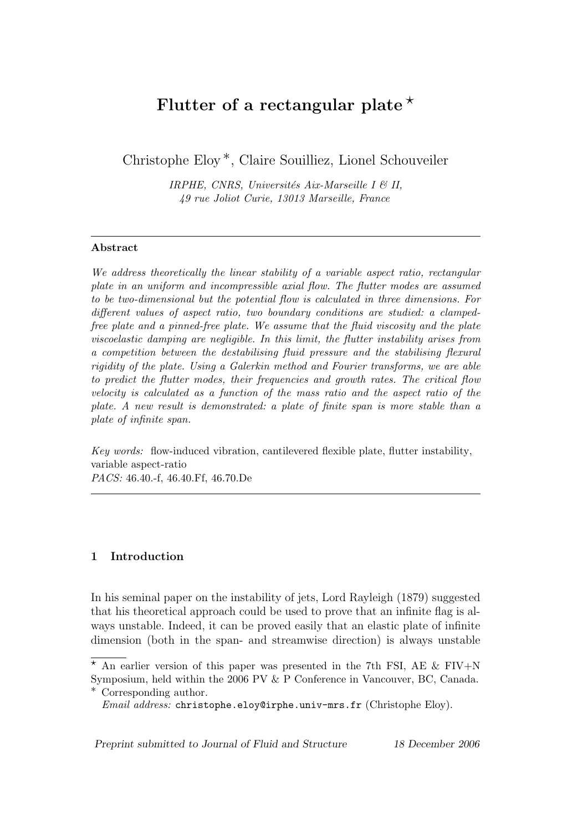# Flutter of a rectangular plate  $\star$

Christophe Eloy ∗, Claire Souilliez, Lionel Schouveiler

IRPHE, CNRS, Universités Aix-Marseille I  $\mathcal B$  II, 49 rue Joliot Curie, 13013 Marseille, France

## Abstract

We address theoretically the linear stability of a variable aspect ratio, rectangular plate in an uniform and incompressible axial flow. The flutter modes are assumed to be two-dimensional but the potential flow is calculated in three dimensions. For different values of aspect ratio, two boundary conditions are studied: a clampedfree plate and a pinned-free plate. We assume that the fluid viscosity and the plate viscoelastic damping are negligible. In this limit, the flutter instability arises from a competition between the destabilising fluid pressure and the stabilising flexural rigidity of the plate. Using a Galerkin method and Fourier transforms, we are able to predict the flutter modes, their frequencies and growth rates. The critical flow velocity is calculated as a function of the mass ratio and the aspect ratio of the plate. A new result is demonstrated: a plate of finite span is more stable than a plate of infinite span.

Key words: flow-induced vibration, cantilevered flexible plate, flutter instability, variable aspect-ratio PACS: 46.40.-f, 46.40.Ff, 46.70.De

## 1 Introduction

In his seminal paper on the instability of jets, Lord Rayleigh (1879) suggested that his theoretical approach could be used to prove that an infinite flag is always unstable. Indeed, it can be proved easily that an elastic plate of infinite dimension (both in the span- and streamwise direction) is always unstable

Preprint submitted to Journal of Fluid and Structure 18 December 2006

<sup>\*</sup> An earlier version of this paper was presented in the 7th FSI, AE & FIV+N Symposium, held within the 2006 PV & P Conference in Vancouver, BC, Canada. Corresponding author.

Email address: christophe.eloy@irphe.univ-mrs.fr (Christophe Eloy).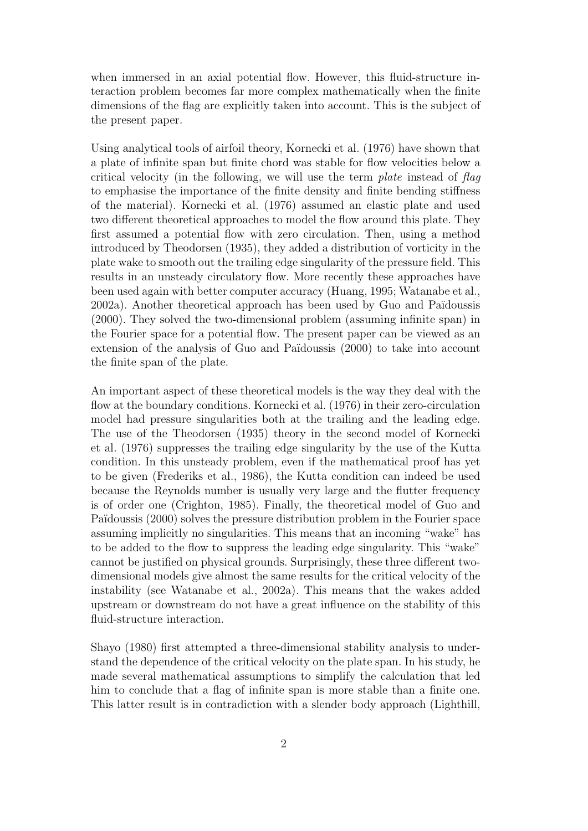when immersed in an axial potential flow. However, this fluid-structure interaction problem becomes far more complex mathematically when the finite dimensions of the flag are explicitly taken into account. This is the subject of the present paper.

Using analytical tools of airfoil theory, Kornecki et al. (1976) have shown that a plate of infinite span but finite chord was stable for flow velocities below a critical velocity (in the following, we will use the term plate instead of flag to emphasise the importance of the finite density and finite bending stiffness of the material). Kornecki et al. (1976) assumed an elastic plate and used two different theoretical approaches to model the flow around this plate. They first assumed a potential flow with zero circulation. Then, using a method introduced by Theodorsen (1935), they added a distribution of vorticity in the plate wake to smooth out the trailing edge singularity of the pressure field. This results in an unsteady circulatory flow. More recently these approaches have been used again with better computer accuracy (Huang, 1995; Watanabe et al., 2002a). Another theoretical approach has been used by Guo and Païdoussis (2000). They solved the two-dimensional problem (assuming infinite span) in the Fourier space for a potential flow. The present paper can be viewed as an extension of the analysis of Guo and Païdoussis (2000) to take into account the finite span of the plate.

An important aspect of these theoretical models is the way they deal with the flow at the boundary conditions. Kornecki et al. (1976) in their zero-circulation model had pressure singularities both at the trailing and the leading edge. The use of the Theodorsen (1935) theory in the second model of Kornecki et al. (1976) suppresses the trailing edge singularity by the use of the Kutta condition. In this unsteady problem, even if the mathematical proof has yet to be given (Frederiks et al., 1986), the Kutta condition can indeed be used because the Reynolds number is usually very large and the flutter frequency is of order one (Crighton, 1985). Finally, the theoretical model of Guo and Païdoussis (2000) solves the pressure distribution problem in the Fourier space assuming implicitly no singularities. This means that an incoming "wake" has to be added to the flow to suppress the leading edge singularity. This "wake" cannot be justified on physical grounds. Surprisingly, these three different twodimensional models give almost the same results for the critical velocity of the instability (see Watanabe et al., 2002a). This means that the wakes added upstream or downstream do not have a great influence on the stability of this fluid-structure interaction.

Shayo (1980) first attempted a three-dimensional stability analysis to understand the dependence of the critical velocity on the plate span. In his study, he made several mathematical assumptions to simplify the calculation that led him to conclude that a flag of infinite span is more stable than a finite one. This latter result is in contradiction with a slender body approach (Lighthill,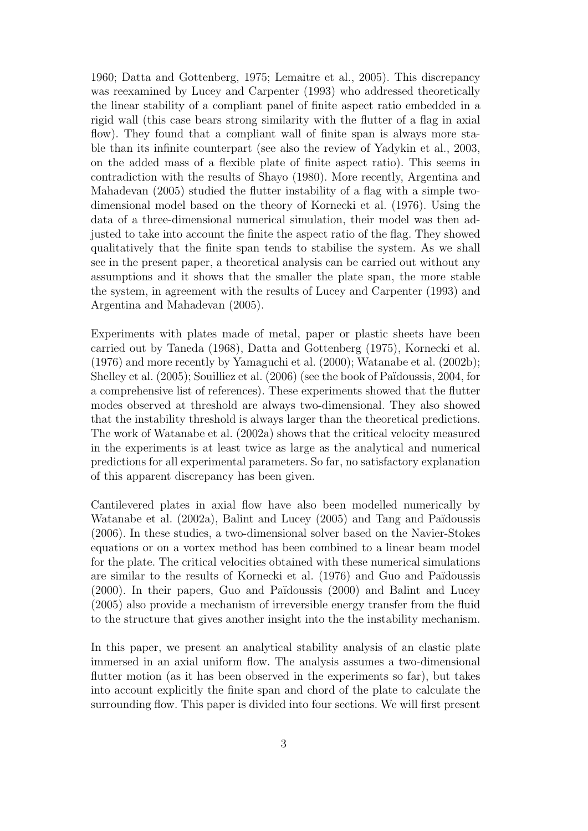1960; Datta and Gottenberg, 1975; Lemaitre et al., 2005). This discrepancy was reexamined by Lucey and Carpenter (1993) who addressed theoretically the linear stability of a compliant panel of finite aspect ratio embedded in a rigid wall (this case bears strong similarity with the flutter of a flag in axial flow). They found that a compliant wall of finite span is always more stable than its infinite counterpart (see also the review of Yadykin et al., 2003, on the added mass of a flexible plate of finite aspect ratio). This seems in contradiction with the results of Shayo (1980). More recently, Argentina and Mahadevan (2005) studied the flutter instability of a flag with a simple twodimensional model based on the theory of Kornecki et al. (1976). Using the data of a three-dimensional numerical simulation, their model was then adjusted to take into account the finite the aspect ratio of the flag. They showed qualitatively that the finite span tends to stabilise the system. As we shall see in the present paper, a theoretical analysis can be carried out without any assumptions and it shows that the smaller the plate span, the more stable the system, in agreement with the results of Lucey and Carpenter (1993) and Argentina and Mahadevan (2005).

Experiments with plates made of metal, paper or plastic sheets have been carried out by Taneda (1968), Datta and Gottenberg (1975), Kornecki et al. (1976) and more recently by Yamaguchi et al. (2000); Watanabe et al. (2002b); Shelley et al. (2005); Souilliez et al. (2006) (see the book of Païdoussis, 2004, for a comprehensive list of references). These experiments showed that the flutter modes observed at threshold are always two-dimensional. They also showed that the instability threshold is always larger than the theoretical predictions. The work of Watanabe et al. (2002a) shows that the critical velocity measured in the experiments is at least twice as large as the analytical and numerical predictions for all experimental parameters. So far, no satisfactory explanation of this apparent discrepancy has been given.

Cantilevered plates in axial flow have also been modelled numerically by Watanabe et al. (2002a), Balint and Lucey (2005) and Tang and Païdoussis (2006). In these studies, a two-dimensional solver based on the Navier-Stokes equations or on a vortex method has been combined to a linear beam model for the plate. The critical velocities obtained with these numerical simulations are similar to the results of Kornecki et al. (1976) and Guo and Païdoussis (2000). In their papers, Guo and Pa¨ıdoussis (2000) and Balint and Lucey (2005) also provide a mechanism of irreversible energy transfer from the fluid to the structure that gives another insight into the the instability mechanism.

In this paper, we present an analytical stability analysis of an elastic plate immersed in an axial uniform flow. The analysis assumes a two-dimensional flutter motion (as it has been observed in the experiments so far), but takes into account explicitly the finite span and chord of the plate to calculate the surrounding flow. This paper is divided into four sections. We will first present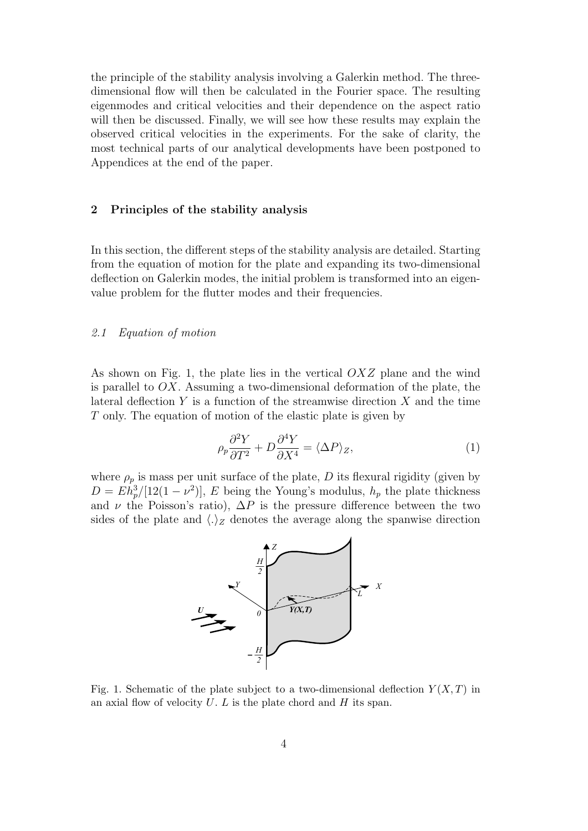the principle of the stability analysis involving a Galerkin method. The threedimensional flow will then be calculated in the Fourier space. The resulting eigenmodes and critical velocities and their dependence on the aspect ratio will then be discussed. Finally, we will see how these results may explain the observed critical velocities in the experiments. For the sake of clarity, the most technical parts of our analytical developments have been postponed to Appendices at the end of the paper.

## 2 Principles of the stability analysis

In this section, the different steps of the stability analysis are detailed. Starting from the equation of motion for the plate and expanding its two-dimensional deflection on Galerkin modes, the initial problem is transformed into an eigenvalue problem for the flutter modes and their frequencies.

#### 2.1 Equation of motion

As shown on Fig. 1, the plate lies in the vertical OXZ plane and the wind is parallel to  $OX$ . Assuming a two-dimensional deformation of the plate, the lateral deflection  $Y$  is a function of the streamwise direction  $X$  and the time T only. The equation of motion of the elastic plate is given by

$$
\rho_p \frac{\partial^2 Y}{\partial T^2} + D \frac{\partial^4 Y}{\partial X^4} = \langle \Delta P \rangle_Z,\tag{1}
$$

where  $\rho_p$  is mass per unit surface of the plate, D its flexural rigidity (given by  $D = Eh_p^3/[12(1-\nu^2)], E$  being the Young's modulus,  $h_p$  the plate thickness and  $\nu$  the Poisson's ratio),  $\Delta P$  is the pressure difference between the two sides of the plate and  $\langle . \rangle_Z$  denotes the average along the spanwise direction



Fig. 1. Schematic of the plate subject to a two-dimensional deflection  $Y(X,T)$  in an axial flow of velocity  $U$ .  $L$  is the plate chord and  $H$  its span.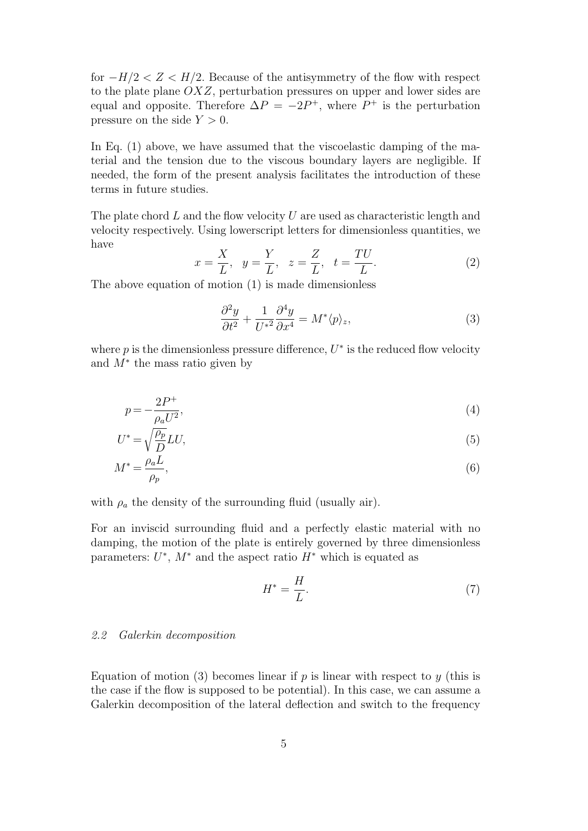for  $-H/2 < Z < H/2$ . Because of the antisymmetry of the flow with respect to the plate plane OXZ, perturbation pressures on upper and lower sides are equal and opposite. Therefore  $\Delta P = -2P^+$ , where  $P^+$  is the perturbation pressure on the side  $Y > 0$ .

In Eq. (1) above, we have assumed that the viscoelastic damping of the material and the tension due to the viscous boundary layers are negligible. If needed, the form of the present analysis facilitates the introduction of these terms in future studies.

The plate chord  $L$  and the flow velocity  $U$  are used as characteristic length and velocity respectively. Using lowerscript letters for dimensionless quantities, we have

$$
x = \frac{X}{L}, \quad y = \frac{Y}{L}, \quad z = \frac{Z}{L}, \quad t = \frac{TU}{L}.
$$
 (2)

The above equation of motion (1) is made dimensionless

$$
\frac{\partial^2 y}{\partial t^2} + \frac{1}{U^{*2}} \frac{\partial^4 y}{\partial x^4} = M^* \langle p \rangle_z,\tag{3}
$$

where  $p$  is the dimensionless pressure difference,  $U^*$  is the reduced flow velocity and  $M^*$  the mass ratio given by

$$
p = -\frac{2P^+}{\rho_a U^2},\tag{4}
$$

$$
U^* = \sqrt{\frac{\rho_p}{D}} LU,\tag{5}
$$

$$
M^* = \frac{\rho_a L}{\rho_p},\tag{6}
$$

with  $\rho_a$  the density of the surrounding fluid (usually air).

For an inviscid surrounding fluid and a perfectly elastic material with no damping, the motion of the plate is entirely governed by three dimensionless parameters:  $U^*$ ,  $M^*$  and the aspect ratio  $H^*$  which is equated as

$$
H^* = \frac{H}{L}.\tag{7}
$$

#### 2.2 Galerkin decomposition

Equation of motion (3) becomes linear if  $p$  is linear with respect to  $y$  (this is the case if the flow is supposed to be potential). In this case, we can assume a Galerkin decomposition of the lateral deflection and switch to the frequency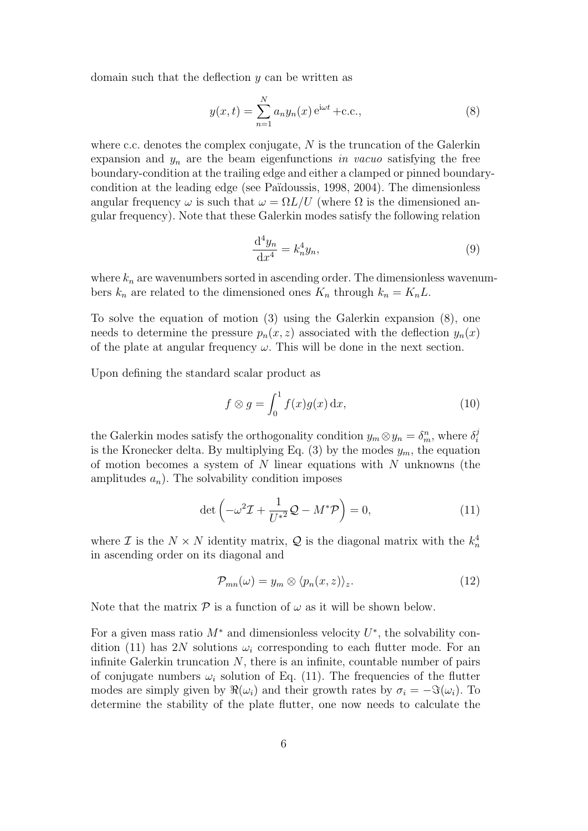domain such that the deflection  $y$  can be written as

$$
y(x,t) = \sum_{n=1}^{N} a_n y_n(x) e^{i\omega t} + c.c.,
$$
 (8)

where c.c. denotes the complex conjugate,  $N$  is the truncation of the Galerkin expansion and  $y_n$  are the beam eigenfunctions in vacuo satisfying the free boundary-condition at the trailing edge and either a clamped or pinned boundarycondition at the leading edge (see Païdoussis, 1998, 2004). The dimensionless angular frequency  $\omega$  is such that  $\omega = \Omega L/U$  (where  $\Omega$  is the dimensioned angular frequency). Note that these Galerkin modes satisfy the following relation

$$
\frac{\mathrm{d}^4 y_n}{\mathrm{d}x^4} = k_n^4 y_n,\tag{9}
$$

where  $k_n$  are wavenumbers sorted in ascending order. The dimensionless wavenumbers  $k_n$  are related to the dimensioned ones  $K_n$  through  $k_n = K_n L$ .

To solve the equation of motion (3) using the Galerkin expansion (8), one needs to determine the pressure  $p_n(x, z)$  associated with the deflection  $y_n(x)$ of the plate at angular frequency  $\omega$ . This will be done in the next section.

Upon defining the standard scalar product as

$$
f \otimes g = \int_0^1 f(x)g(x) \, \mathrm{d}x,\tag{10}
$$

the Galerkin modes satisfy the orthogonality condition  $y_m \otimes y_n = \delta_m^n$ , where  $\delta_i^j$ i is the Kronecker delta. By multiplying Eq. (3) by the modes  $y_m$ , the equation of motion becomes a system of N linear equations with N unknowns (the amplitudes  $a_n$ ). The solvability condition imposes

$$
\det\left(-\omega^2 \mathcal{I} + \frac{1}{U^{*2}}\mathcal{Q} - M^*\mathcal{P}\right) = 0,\tag{11}
$$

where  $\mathcal I$  is the  $N \times N$  identity matrix,  $\mathcal Q$  is the diagonal matrix with the  $k_n^4$ in ascending order on its diagonal and

$$
\mathcal{P}_{mn}(\omega) = y_m \otimes \langle p_n(x, z) \rangle_z.
$$
 (12)

Note that the matrix  $P$  is a function of  $\omega$  as it will be shown below.

For a given mass ratio  $M^*$  and dimensionless velocity  $U^*$ , the solvability condition (11) has 2N solutions  $\omega_i$  corresponding to each flutter mode. For an infinite Galerkin truncation  $N$ , there is an infinite, countable number of pairs of conjugate numbers  $\omega_i$  solution of Eq. (11). The frequencies of the flutter modes are simply given by  $\Re(\omega_i)$  and their growth rates by  $\sigma_i = -\Im(\omega_i)$ . To determine the stability of the plate flutter, one now needs to calculate the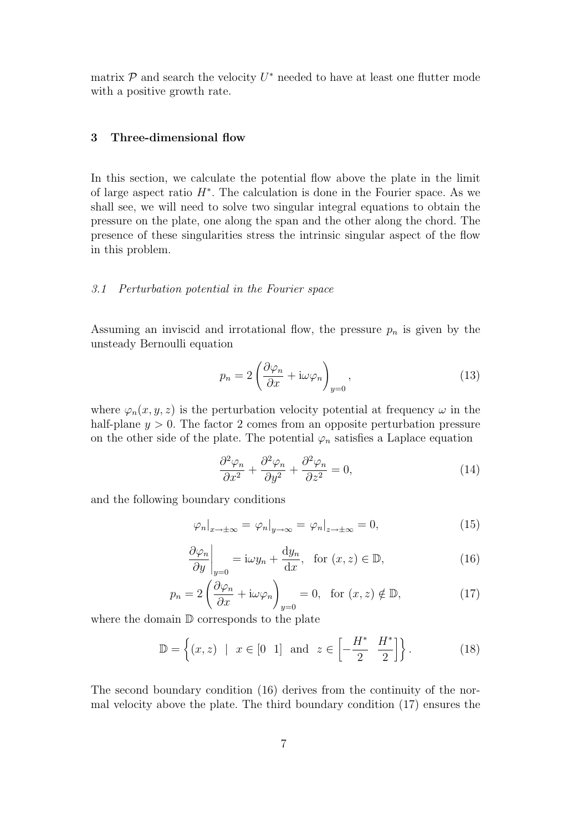matrix  $\mathcal{P}$  and search the velocity  $U^*$  needed to have at least one flutter mode with a positive growth rate.

# 3 Three-dimensional flow

In this section, we calculate the potential flow above the plate in the limit of large aspect ratio  $H^*$ . The calculation is done in the Fourier space. As we shall see, we will need to solve two singular integral equations to obtain the pressure on the plate, one along the span and the other along the chord. The presence of these singularities stress the intrinsic singular aspect of the flow in this problem.

# 3.1 Perturbation potential in the Fourier space

Assuming an inviscid and irrotational flow, the pressure  $p_n$  is given by the unsteady Bernoulli equation

$$
p_n = 2\left(\frac{\partial \varphi_n}{\partial x} + i\omega \varphi_n\right)_{y=0},\tag{13}
$$

where  $\varphi_n(x, y, z)$  is the perturbation velocity potential at frequency  $\omega$  in the half-plane  $y > 0$ . The factor 2 comes from an opposite perturbation pressure on the other side of the plate. The potential  $\varphi_n$  satisfies a Laplace equation

$$
\frac{\partial^2 \varphi_n}{\partial x^2} + \frac{\partial^2 \varphi_n}{\partial y^2} + \frac{\partial^2 \varphi_n}{\partial z^2} = 0,
$$
\n(14)

and the following boundary conditions

$$
\varphi_n|_{x \to \pm \infty} = \varphi_n|_{y \to \infty} = \varphi_n|_{z \to \pm \infty} = 0,
$$
\n(15)

$$
\left. \frac{\partial \varphi_n}{\partial y} \right|_{y=0} = i\omega y_n + \frac{dy_n}{dx}, \text{ for } (x, z) \in \mathbb{D}, \tag{16}
$$

$$
p_n = 2\left(\frac{\partial \varphi_n}{\partial x} + i\omega \varphi_n\right)_{y=0} = 0, \text{ for } (x, z) \notin \mathbb{D}, \tag{17}
$$

where the domain  $\mathbb D$  corresponds to the plate

$$
\mathbb{D} = \left\{ (x, z) \mid x \in [0 \ 1] \text{ and } z \in \left[ -\frac{H^*}{2} \ \frac{H^*}{2} \right] \right\}. \tag{18}
$$

The second boundary condition (16) derives from the continuity of the normal velocity above the plate. The third boundary condition (17) ensures the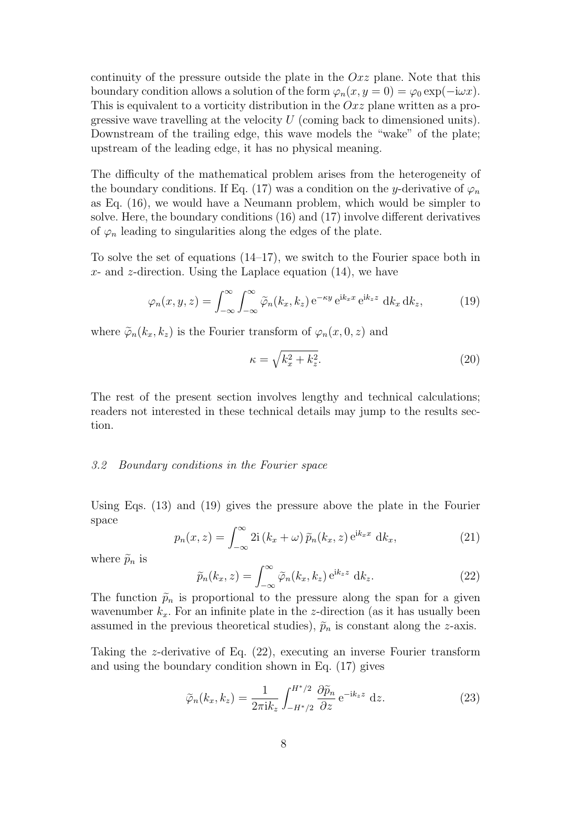continuity of the pressure outside the plate in the  $Oxz$  plane. Note that this boundary condition allows a solution of the form  $\varphi_n(x, y = 0) = \varphi_0 \exp(-\mathrm{i}\omega x)$ . This is equivalent to a vorticity distribution in the  $Oxz$  plane written as a progressive wave travelling at the velocity  $U$  (coming back to dimensioned units). Downstream of the trailing edge, this wave models the "wake" of the plate; upstream of the leading edge, it has no physical meaning.

The difficulty of the mathematical problem arises from the heterogeneity of the boundary conditions. If Eq. (17) was a condition on the y-derivative of  $\varphi_n$ as Eq. (16), we would have a Neumann problem, which would be simpler to solve. Here, the boundary conditions (16) and (17) involve different derivatives of  $\varphi_n$  leading to singularities along the edges of the plate.

To solve the set of equations  $(14-17)$ , we switch to the Fourier space both in  $x$ - and  $z$ -direction. Using the Laplace equation (14), we have

$$
\varphi_n(x, y, z) = \int_{-\infty}^{\infty} \int_{-\infty}^{\infty} \tilde{\varphi}_n(k_x, k_z) e^{-\kappa y} e^{ik_x x} e^{ik_z z} dk_x dk_z, \qquad (19)
$$

where  $\tilde{\varphi}_n(k_x, k_z)$  is the Fourier transform of  $\varphi_n(x, 0, z)$  and

$$
\kappa = \sqrt{k_x^2 + k_z^2}.\tag{20}
$$

The rest of the present section involves lengthy and technical calculations; readers not interested in these technical details may jump to the results section.

## 3.2 Boundary conditions in the Fourier space

Using Eqs. (13) and (19) gives the pressure above the plate in the Fourier space

$$
p_n(x, z) = \int_{-\infty}^{\infty} 2i (k_x + \omega) \, \tilde{p}_n(k_x, z) e^{ik_x x} \, dk_x,
$$
 (21)

where  $\tilde{p}_n$  is

$$
\tilde{p}_n(k_x, z) = \int_{-\infty}^{\infty} \tilde{\varphi}_n(k_x, k_z) e^{ik_z z} dk_z.
$$
\n(22)

The function  $\tilde{p}_n$  is proportional to the pressure along the span for a given wavenumber  $k_x$ . For an infinite plate in the z-direction (as it has usually been assumed in the previous theoretical studies),  $\tilde{p}_n$  is constant along the z-axis.

Taking the z-derivative of Eq. (22), executing an inverse Fourier transform and using the boundary condition shown in Eq. (17) gives

$$
\tilde{\varphi}_n(k_x, k_z) = \frac{1}{2\pi i k_z} \int_{-H^*/2}^{H^*/2} \frac{\partial \tilde{p}_n}{\partial z} e^{-ik_z z} dz.
$$
 (23)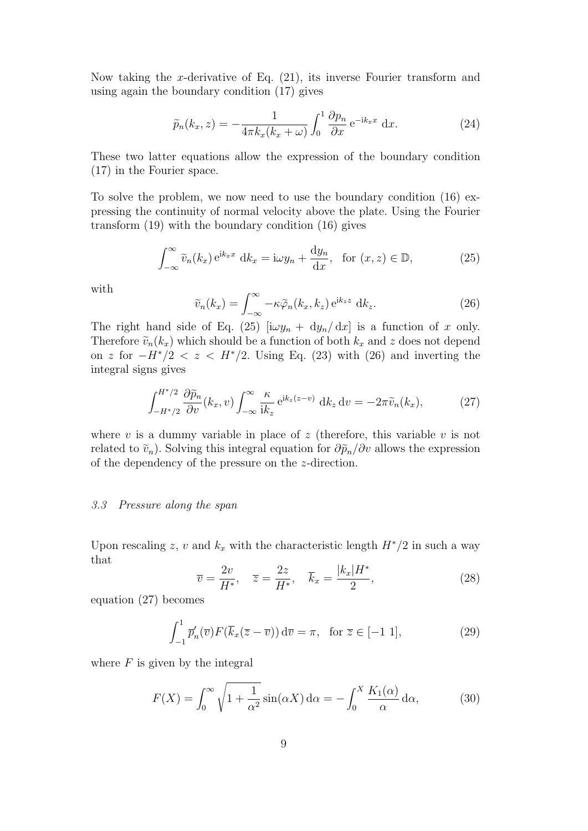Now taking the x-derivative of Eq.  $(21)$ , its inverse Fourier transform and using again the boundary condition (17) gives

$$
\tilde{p}_n(k_x, z) = -\frac{1}{4\pi k_x(k_x + \omega)} \int_0^1 \frac{\partial p_n}{\partial x} e^{-ik_x x} dx.
$$
\n(24)

These two latter equations allow the expression of the boundary condition (17) in the Fourier space.

To solve the problem, we now need to use the boundary condition (16) expressing the continuity of normal velocity above the plate. Using the Fourier transform (19) with the boundary condition (16) gives

$$
\int_{-\infty}^{\infty} \tilde{v}_n(k_x) e^{ik_x x} dk_x = i\omega y_n + \frac{dy_n}{dx}, \text{ for } (x, z) \in \mathbb{D}, \tag{25}
$$

with

$$
\widetilde{v}_n(k_x) = \int_{-\infty}^{\infty} -\kappa \widetilde{\varphi}_n(k_x, k_z) e^{ik_z z} dk_z.
$$
 (26)

The right hand side of Eq. (25)  $[i\omega y_n + dy_n/dx]$  is a function of x only. Therefore  $\tilde{v}_n(k_x)$  which should be a function of both  $k_x$  and z does not depend on z for  $-H^*/2 < z < H^*/2$ . Using Eq. (23) with (26) and inverting the integral signs gives

$$
\int_{-H^*/2}^{H^*/2} \frac{\partial \widetilde{p}_n}{\partial v}(k_x, v) \int_{-\infty}^{\infty} \frac{\kappa}{ik_z} e^{ik_z(z-v)} dk_z dv = -2\pi \widetilde{v}_n(k_x), \tag{27}
$$

where v is a dummy variable in place of  $z$  (therefore, this variable v is not related to  $\tilde{v}_n$ ). Solving this integral equation for  $\partial \tilde{p}_n/\partial v$  allows the expression of the dependency of the pressure on the z-direction.

# 3.3 Pressure along the span

Upon rescaling z, v and  $k_x$  with the characteristic length  $H^*/2$  in such a way that

$$
\overline{v} = \frac{2v}{H^*}, \quad \overline{z} = \frac{2z}{H^*}, \quad \overline{k}_x = \frac{|k_x|H^*}{2}, \tag{28}
$$

equation (27) becomes

$$
\int_{-1}^{1} \overline{p}'_n(\overline{v}) F(\overline{k}_x(\overline{z}-\overline{v})) d\overline{v} = \pi, \text{ for } \overline{z} \in [-1 1], \tag{29}
$$

where  $F$  is given by the integral

$$
F(X) = \int_0^\infty \sqrt{1 + \frac{1}{\alpha^2}} \sin(\alpha X) d\alpha = -\int_0^X \frac{K_1(\alpha)}{\alpha} d\alpha, \tag{30}
$$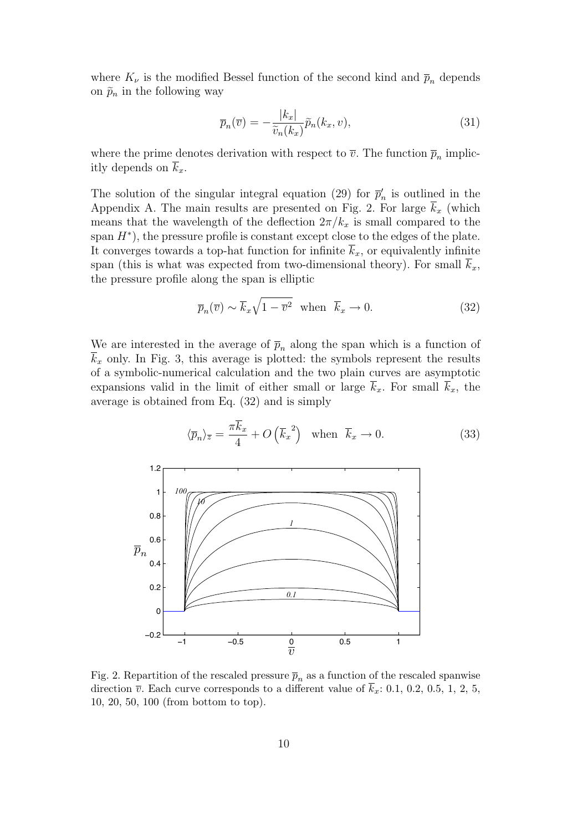where  $K_{\nu}$  is the modified Bessel function of the second kind and  $\bar{p}_n$  depends on  $\tilde{p}_n$  in the following way

$$
\overline{p}_n(\overline{v}) = -\frac{|k_x|}{\widetilde{v}_n(k_x)} \widetilde{p}_n(k_x, v), \tag{31}
$$

where the prime denotes derivation with respect to  $\overline{v}$ . The function  $\overline{p}_n$  implicitly depends on  $\bar{k}_x$ .

The solution of the singular integral equation (29) for  $\bar{p}'_n$  is outlined in the Appendix A. The main results are presented on Fig. 2. For large  $k_x$  (which means that the wavelength of the deflection  $2\pi/k_x$  is small compared to the span  $H^*$ ), the pressure profile is constant except close to the edges of the plate. It converges towards a top-hat function for infinite  $\overline{k}_x$ , or equivalently infinite span (this is what was expected from two-dimensional theory). For small  $\bar{k}_x$ , the pressure profile along the span is elliptic

$$
\overline{p}_n(\overline{v}) \sim \overline{k}_x \sqrt{1 - \overline{v}^2} \quad \text{when} \quad \overline{k}_x \to 0. \tag{32}
$$

We are interested in the average of  $\bar{p}_n$  along the span which is a function of  $k_x$  only. In Fig. 3, this average is plotted: the symbols represent the results of a symbolic-numerical calculation and the two plain curves are asymptotic expansions valid in the limit of either small or large  $\overline{k}_x$ . For small  $\overline{k}_x$ , the average is obtained from Eq. (32) and is simply



$$
\langle \overline{p}_n \rangle_{\overline{z}} = \frac{\pi k_x}{4} + O\left(\overline{k}_x^2\right) \quad \text{when} \quad \overline{k}_x \to 0. \tag{33}
$$

Fig. 2. Repartition of the rescaled pressure  $\bar{p}_n$  as a function of the rescaled spanwise direction  $\overline{v}$ . Each curve corresponds to a different value of  $\overline{k}_x$ : 0.1, 0.2, 0.5, 1, 2, 5, 10, 20, 50, 100 (from bottom to top).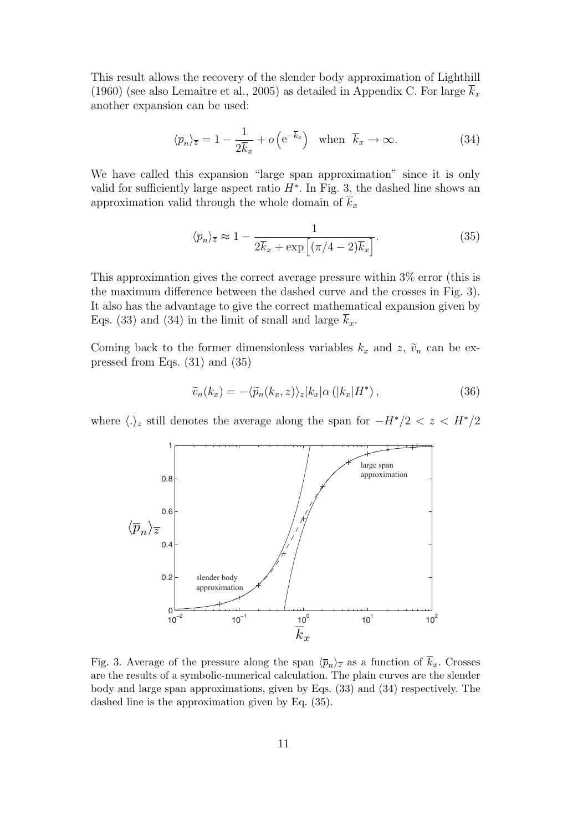This result allows the recovery of the slender body approximation of Lighthill (1960) (see also Lemaitre et al., 2005) as detailed in Appendix C. For large  $\overline{k}_x$ another expansion can be used:

$$
\langle \overline{p}_n \rangle_{\overline{z}} = 1 - \frac{1}{2\overline{k}_x} + o\left(e^{-\overline{k}_x}\right)
$$
 when  $\overline{k}_x \to \infty$ . (34)

We have called this expansion "large span approximation" since it is only valid for sufficiently large aspect ratio  $H^*$ . In Fig. 3, the dashed line shows an approximation valid through the whole domain of  $\overline{k}_x$ 

$$
\langle \overline{p}_n \rangle_{\overline{z}} \approx 1 - \frac{1}{2\overline{k}_x + \exp\left[ (\pi/4 - 2)\overline{k}_x \right]}.
$$
\n(35)

This approximation gives the correct average pressure within 3% error (this is the maximum difference between the dashed curve and the crosses in Fig. 3). It also has the advantage to give the correct mathematical expansion given by Eqs. (33) and (34) in the limit of small and large  $\bar{k}_x$ .

Coming back to the former dimensionless variables  $k_x$  and  $z$ ,  $\tilde{v}_n$  can be expressed from Eqs. (31) and (35)

$$
\tilde{v}_n(k_x) = -\langle \tilde{p}_n(k_x, z) \rangle_z |k_x| \alpha (|k_x| H^*) , \qquad (36)
$$

where  $\langle . \rangle_z$  still denotes the average along the span for  $-H^*/2 < z < H^*/2$ 



Fig. 3. Average of the pressure along the span  $\langle \overline{p}_n \rangle_{\overline{z}}$  as a function of  $k_x$ . Crosses are the results of a symbolic-numerical calculation. The plain curves are the slender body and large span approximations, given by Eqs. (33) and (34) respectively. The dashed line is the approximation given by Eq. (35).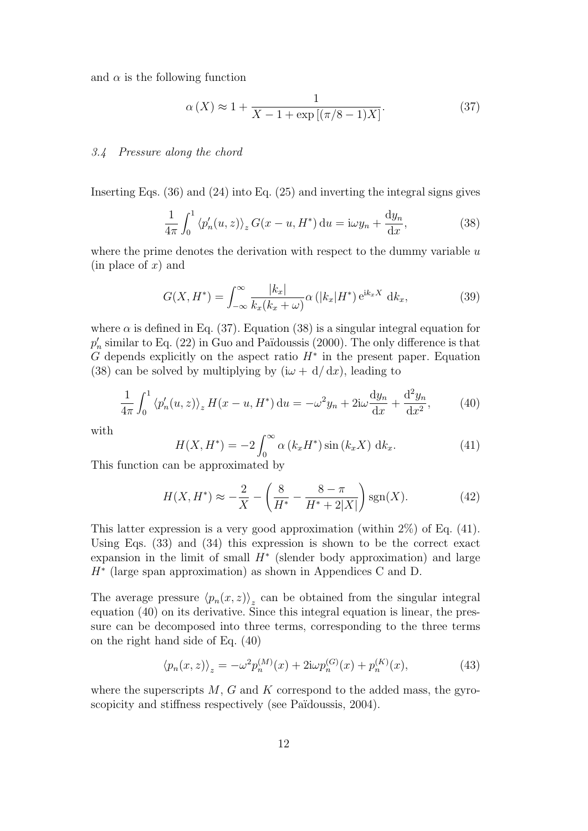and  $\alpha$  is the following function

$$
\alpha(X) \approx 1 + \frac{1}{X - 1 + \exp\left[ (\pi/8 - 1)X \right]}.
$$
\n(37)

#### 3.4 Pressure along the chord

Inserting Eqs. (36) and (24) into Eq. (25) and inverting the integral signs gives

$$
\frac{1}{4\pi} \int_0^1 \langle p'_n(u, z) \rangle_z G(x - u, H^*) \, \mathrm{d}u = \mathrm{i} \omega y_n + \frac{\mathrm{d}y_n}{\mathrm{d}x},\tag{38}
$$

where the prime denotes the derivation with respect to the dummy variable  $u$  $(in place of x) and$ 

$$
G(X, H^*) = \int_{-\infty}^{\infty} \frac{|k_x|}{k_x(k_x + \omega)} \alpha \left( |k_x| H^* \right) e^{ik_x X} dk_x, \tag{39}
$$

where  $\alpha$  is defined in Eq. (37). Equation (38) is a singular integral equation for  $p'_n$  similar to Eq. (22) in Guo and Païdoussis (2000). The only difference is that G depends explicitly on the aspect ratio  $H^*$  in the present paper. Equation (38) can be solved by multiplying by  $(i\omega + d/dx)$ , leading to

$$
\frac{1}{4\pi} \int_0^1 \langle p'_n(u, z) \rangle_z H(x - u, H^*) \, \mathrm{d}u = -\omega^2 y_n + 2i\omega \frac{\mathrm{d}y_n}{\mathrm{d}x} + \frac{\mathrm{d}^2 y_n}{\mathrm{d}x^2},\tag{40}
$$

with

$$
H(X, H^*) = -2\int_0^\infty \alpha(k_x H^*) \sin(k_x X) \, \mathrm{d}k_x. \tag{41}
$$

This function can be approximated by

$$
H(X, H^*) \approx -\frac{2}{X} - \left(\frac{8}{H^*} - \frac{8-\pi}{H^*+2|X|}\right) \text{sgn}(X). \tag{42}
$$

This latter expression is a very good approximation (within 2%) of Eq. (41). Using Eqs. (33) and (34) this expression is shown to be the correct exact expansion in the limit of small  $H^*$  (slender body approximation) and large  $H^*$  (large span approximation) as shown in Appendices C and D.

The average pressure  $\langle p_n(x,z) \rangle_z$  can be obtained from the singular integral equation (40) on its derivative. Since this integral equation is linear, the pressure can be decomposed into three terms, corresponding to the three terms on the right hand side of Eq. (40)

$$
\langle p_n(x,z) \rangle_z = -\omega^2 p_n^{(M)}(x) + 2i\omega p_n^{(G)}(x) + p_n^{(K)}(x), \tag{43}
$$

where the superscripts  $M, G$  and  $K$  correspond to the added mass, the gyroscopicity and stiffness respectively (see Païdoussis, 2004).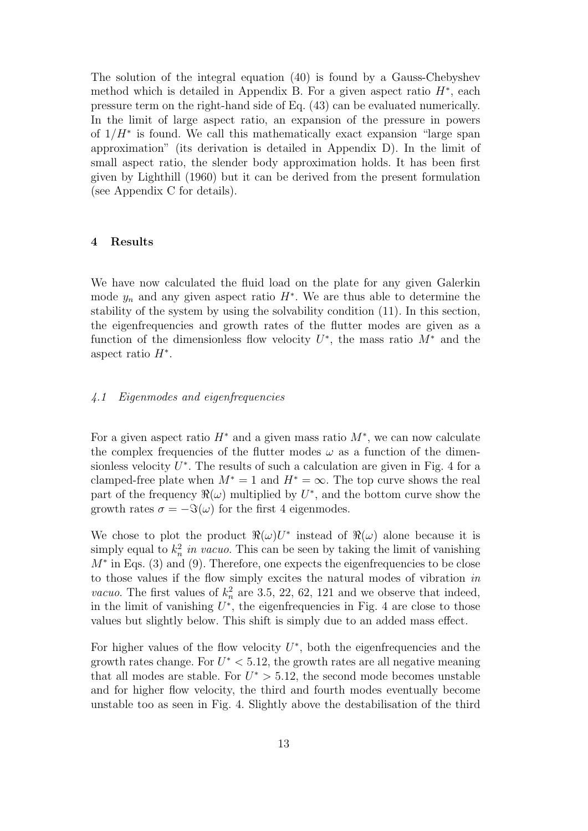The solution of the integral equation (40) is found by a Gauss-Chebyshev method which is detailed in Appendix B. For a given aspect ratio  $H^*$ , each pressure term on the right-hand side of Eq. (43) can be evaluated numerically. In the limit of large aspect ratio, an expansion of the pressure in powers of  $1/H^*$  is found. We call this mathematically exact expansion "large span approximation" (its derivation is detailed in Appendix D). In the limit of small aspect ratio, the slender body approximation holds. It has been first given by Lighthill (1960) but it can be derived from the present formulation (see Appendix C for details).

# 4 Results

We have now calculated the fluid load on the plate for any given Galerkin mode  $y_n$  and any given aspect ratio  $H^*$ . We are thus able to determine the stability of the system by using the solvability condition (11). In this section, the eigenfrequencies and growth rates of the flutter modes are given as a function of the dimensionless flow velocity  $U^*$ , the mass ratio  $M^*$  and the aspect ratio  $H^*$ .

# 4.1 Eigenmodes and eigenfrequencies

For a given aspect ratio  $H^*$  and a given mass ratio  $M^*$ , we can now calculate the complex frequencies of the flutter modes  $\omega$  as a function of the dimensionless velocity  $U^*$ . The results of such a calculation are given in Fig. 4 for a clamped-free plate when  $M^* = 1$  and  $H^* = \infty$ . The top curve shows the real part of the frequency  $\Re(\omega)$  multiplied by  $U^*$ , and the bottom curve show the growth rates  $\sigma = -\Im(\omega)$  for the first 4 eigenmodes.

We chose to plot the product  $\Re(\omega)U^*$  instead of  $\Re(\omega)$  alone because it is simply equal to  $k_n^2$  in vacuo. This can be seen by taking the limit of vanishing  $M^*$  in Eqs. (3) and (9). Therefore, one expects the eigenfrequencies to be close to those values if the flow simply excites the natural modes of vibration in *vacuo*. The first values of  $k_n^2$  are 3.5, 22, 62, 121 and we observe that indeed, in the limit of vanishing  $U^*$ , the eigenfrequencies in Fig. 4 are close to those values but slightly below. This shift is simply due to an added mass effect.

For higher values of the flow velocity  $U^*$ , both the eigenfrequencies and the growth rates change. For  $U^*$  < 5.12, the growth rates are all negative meaning that all modes are stable. For  $U^* > 5.12$ , the second mode becomes unstable and for higher flow velocity, the third and fourth modes eventually become unstable too as seen in Fig. 4. Slightly above the destabilisation of the third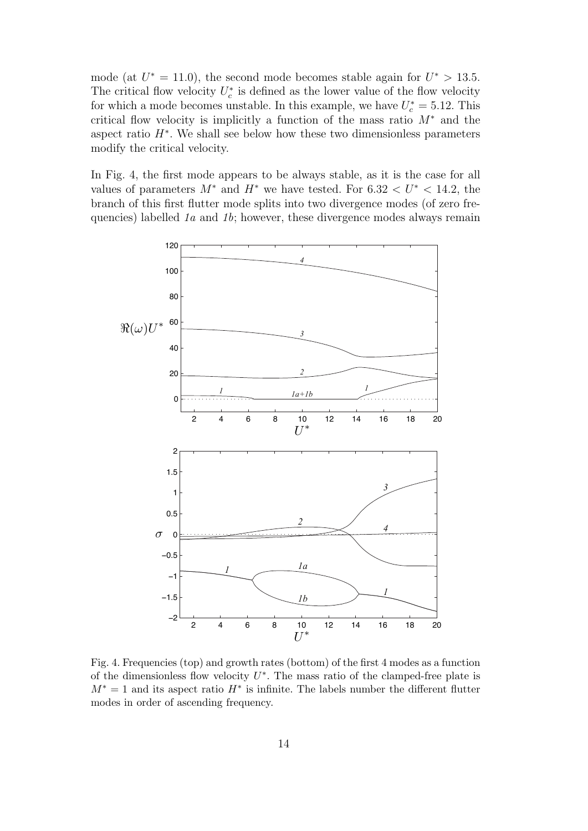mode (at  $U^* = 11.0$ ), the second mode becomes stable again for  $U^* > 13.5$ . The critical flow velocity  $U_c^*$  is defined as the lower value of the flow velocity for which a mode becomes unstable. In this example, we have  $U_c^* = 5.12$ . This critical flow velocity is implicitly a function of the mass ratio  $M^*$  and the aspect ratio  $H^*$ . We shall see below how these two dimensionless parameters modify the critical velocity.

In Fig. 4, the first mode appears to be always stable, as it is the case for all values of parameters  $M^*$  and  $H^*$  we have tested. For 6.32 <  $U^*$  < 14.2, the branch of this first flutter mode splits into two divergence modes (of zero frequencies) labelled 1a and 1b; however, these divergence modes always remain



Fig. 4. Frequencies (top) and growth rates (bottom) of the first 4 modes as a function of the dimensionless flow velocity  $U^*$ . The mass ratio of the clamped-free plate is  $M^* = 1$  and its aspect ratio  $H^*$  is infinite. The labels number the different flutter modes in order of ascending frequency.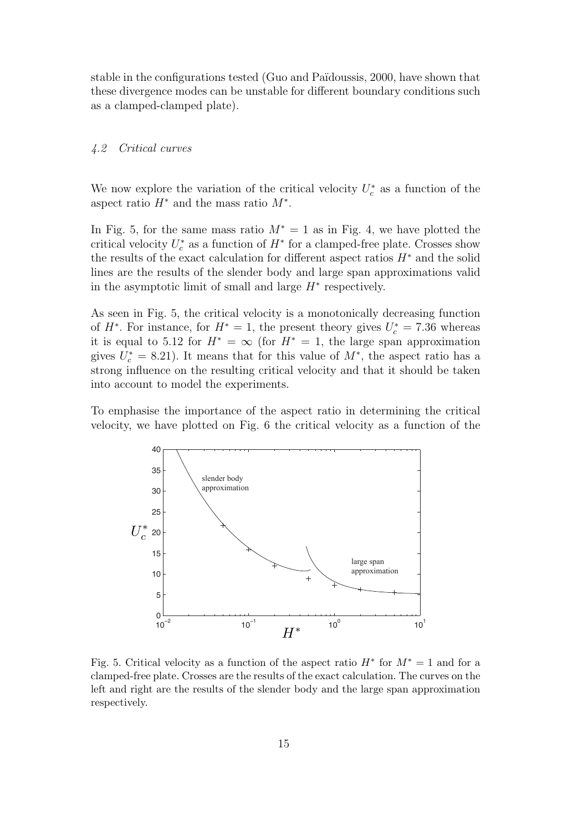stable in the configurations tested (Guo and Pa¨ıdoussis, 2000, have shown that these divergence modes can be unstable for different boundary conditions such as a clamped-clamped plate).

#### 4.2 Critical curves

We now explore the variation of the critical velocity  $U_c^*$  as a function of the aspect ratio  $H^*$  and the mass ratio  $M^*$ .

In Fig. 5, for the same mass ratio  $M^* = 1$  as in Fig. 4, we have plotted the critical velocity  $U_c^*$  as a function of  $H^*$  for a clamped-free plate. Crosses show the results of the exact calculation for different aspect ratios  $H^*$  and the solid lines are the results of the slender body and large span approximations valid in the asymptotic limit of small and large  $H^*$  respectively.

As seen in Fig. 5, the critical velocity is a monotonically decreasing function of  $H^*$ . For instance, for  $H^* = 1$ , the present theory gives  $U_c^* = 7.36$  whereas it is equal to 5.12 for  $H^* = \infty$  (for  $H^* = 1$ , the large span approximation gives  $U_c^* = 8.21$ ). It means that for this value of  $M^*$ , the aspect ratio has a strong influence on the resulting critical velocity and that it should be taken into account to model the experiments.

To emphasise the importance of the aspect ratio in determining the critical velocity, we have plotted on Fig. 6 the critical velocity as a function of the



Fig. 5. Critical velocity as a function of the aspect ratio  $H^*$  for  $M^* = 1$  and for a clamped-free plate. Crosses are the results of the exact calculation. The curves on the left and right are the results of the slender body and the large span approximation respectively.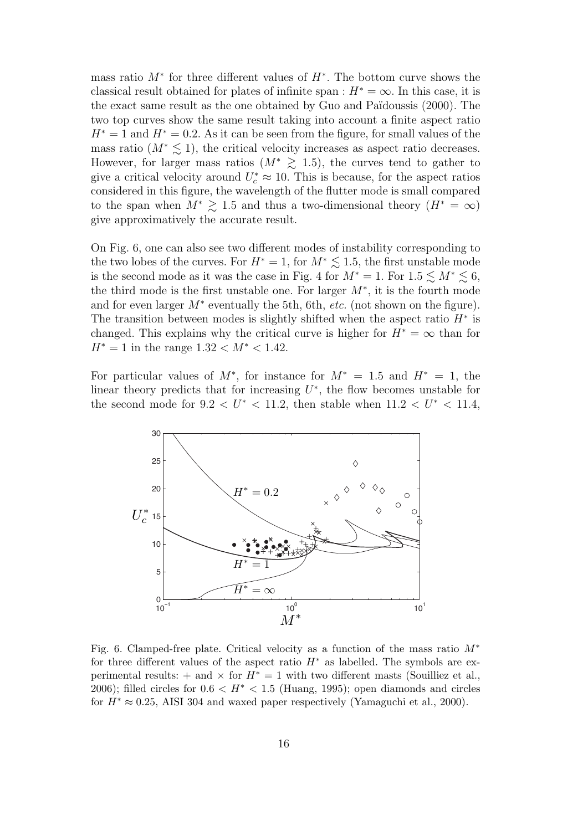mass ratio  $M^*$  for three different values of  $H^*$ . The bottom curve shows the classical result obtained for plates of infinite span :  $H^* = \infty$ . In this case, it is the exact same result as the one obtained by Guo and Païdoussis (2000). The two top curves show the same result taking into account a finite aspect ratio  $H^* = 1$  and  $H^* = 0.2$ . As it can be seen from the figure, for small values of the mass ratio  $(M^* \leq 1)$ , the critical velocity increases as aspect ratio decreases. However, for larger mass ratios ( $M^* \geq 1.5$ ), the curves tend to gather to give a critical velocity around  $U_c^* \approx 10$ . This is because, for the aspect ratios considered in this figure, the wavelength of the flutter mode is small compared to the span when  $M^* \geq 1.5$  and thus a two-dimensional theory  $(H^* = \infty)$ give approximatively the accurate result.

On Fig. 6, one can also see two different modes of instability corresponding to the two lobes of the curves. For  $H^* = 1$ , for  $M^* \leq 1.5$ , the first unstable mode is the second mode as it was the case in Fig. 4 for  $M^* = 1$ . For  $1.5 \leq M^* \leq 6$ , the third mode is the first unstable one. For larger  $M^*$ , it is the fourth mode and for even larger  $M^*$  eventually the 5th, 6th, etc. (not shown on the figure). The transition between modes is slightly shifted when the aspect ratio  $H^*$  is changed. This explains why the critical curve is higher for  $H^* = \infty$  than for  $H^* = 1$  in the range  $1.32 < M^* < 1.42$ .

For particular values of  $M^*$ , for instance for  $M^* = 1.5$  and  $H^* = 1$ , the linear theory predicts that for increasing  $U^*$ , the flow becomes unstable for the second mode for  $9.2 < U^* < 11.2$ , then stable when  $11.2 < U^* < 11.4$ ,



Fig. 6. Clamped-free plate. Critical velocity as a function of the mass ratio  $M^*$ for three different values of the aspect ratio  $H^*$  as labelled. The symbols are experimental results: + and  $\times$  for  $H^* = 1$  with two different masts (Souilliez et al., 2006); filled circles for  $0.6 < H^* < 1.5$  (Huang, 1995); open diamonds and circles for  $H^* \approx 0.25$ , AISI 304 and waxed paper respectively (Yamaguchi et al., 2000).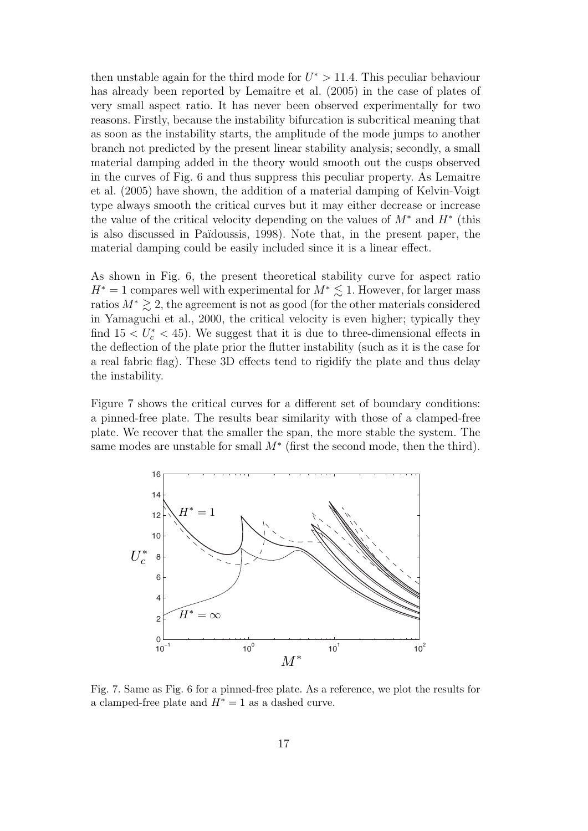then unstable again for the third mode for  $U^* > 11.4$ . This peculiar behaviour has already been reported by Lemaitre et al. (2005) in the case of plates of very small aspect ratio. It has never been observed experimentally for two reasons. Firstly, because the instability bifurcation is subcritical meaning that as soon as the instability starts, the amplitude of the mode jumps to another branch not predicted by the present linear stability analysis; secondly, a small material damping added in the theory would smooth out the cusps observed in the curves of Fig. 6 and thus suppress this peculiar property. As Lemaitre et al. (2005) have shown, the addition of a material damping of Kelvin-Voigt type always smooth the critical curves but it may either decrease or increase the value of the critical velocity depending on the values of  $M^*$  and  $H^*$  (this is also discussed in Pa¨ıdoussis, 1998). Note that, in the present paper, the material damping could be easily included since it is a linear effect.

As shown in Fig. 6, the present theoretical stability curve for aspect ratio  $H^* = 1$  compares well with experimental for  $M^* \lesssim 1$ . However, for larger mass ratios  $M^* \geq 2$ , the agreement is not as good (for the other materials considered in Yamaguchi et al., 2000, the critical velocity is even higher; typically they find  $15 < U_c^* < 45$ ). We suggest that it is due to three-dimensional effects in the deflection of the plate prior the flutter instability (such as it is the case for a real fabric flag). These 3D effects tend to rigidify the plate and thus delay the instability.

Figure 7 shows the critical curves for a different set of boundary conditions: a pinned-free plate. The results bear similarity with those of a clamped-free plate. We recover that the smaller the span, the more stable the system. The same modes are unstable for small  $M^*$  (first the second mode, then the third).



Fig. 7. Same as Fig. 6 for a pinned-free plate. As a reference, we plot the results for a clamped-free plate and  $H^* = 1$  as a dashed curve.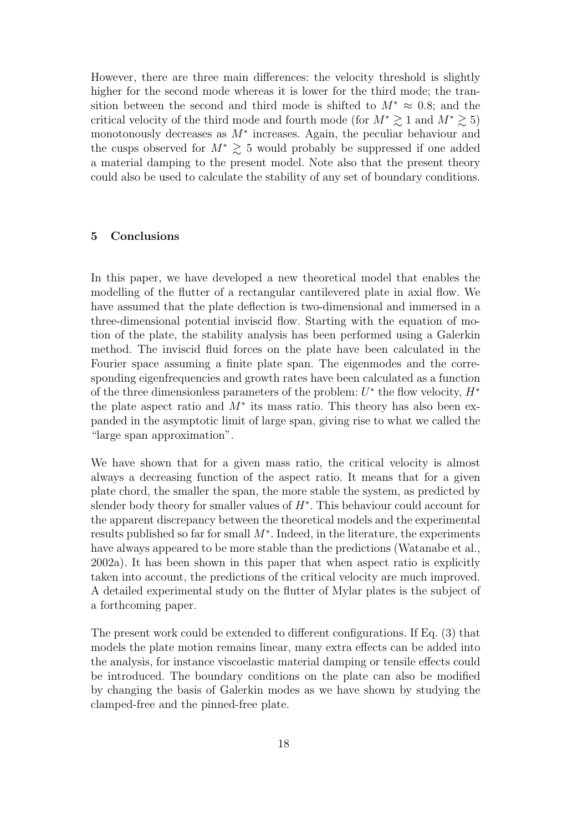However, there are three main differences: the velocity threshold is slightly higher for the second mode whereas it is lower for the third mode; the transition between the second and third mode is shifted to  $M^* \approx 0.8$ ; and the critical velocity of the third mode and fourth mode (for  $M^* \geq 1$  and  $M^* \geq 5$ ) monotonously decreases as  $M^*$  increases. Again, the peculiar behaviour and the cusps observed for  $M^* \geq 5$  would probably be suppressed if one added a material damping to the present model. Note also that the present theory could also be used to calculate the stability of any set of boundary conditions.

## 5 Conclusions

In this paper, we have developed a new theoretical model that enables the modelling of the flutter of a rectangular cantilevered plate in axial flow. We have assumed that the plate deflection is two-dimensional and immersed in a three-dimensional potential inviscid flow. Starting with the equation of motion of the plate, the stability analysis has been performed using a Galerkin method. The inviscid fluid forces on the plate have been calculated in the Fourier space assuming a finite plate span. The eigenmodes and the corresponding eigenfrequencies and growth rates have been calculated as a function of the three dimensionless parameters of the problem:  $U^*$  the flow velocity,  $H^*$ the plate aspect ratio and  $M^*$  its mass ratio. This theory has also been expanded in the asymptotic limit of large span, giving rise to what we called the "large span approximation".

We have shown that for a given mass ratio, the critical velocity is almost always a decreasing function of the aspect ratio. It means that for a given plate chord, the smaller the span, the more stable the system, as predicted by slender body theory for smaller values of  $H^*$ . This behaviour could account for the apparent discrepancy between the theoretical models and the experimental results published so far for small  $M^*$ . Indeed, in the literature, the experiments have always appeared to be more stable than the predictions (Watanabe et al., 2002a). It has been shown in this paper that when aspect ratio is explicitly taken into account, the predictions of the critical velocity are much improved. A detailed experimental study on the flutter of Mylar plates is the subject of a forthcoming paper.

The present work could be extended to different configurations. If Eq. (3) that models the plate motion remains linear, many extra effects can be added into the analysis, for instance viscoelastic material damping or tensile effects could be introduced. The boundary conditions on the plate can also be modified by changing the basis of Galerkin modes as we have shown by studying the clamped-free and the pinned-free plate.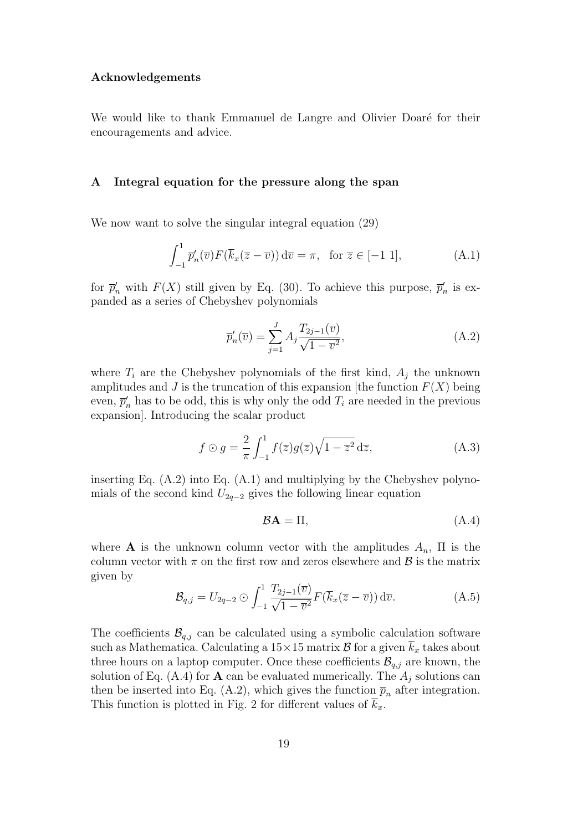## Acknowledgements

We would like to thank Emmanuel de Langre and Olivier Doaré for their encouragements and advice.

## A Integral equation for the pressure along the span

We now want to solve the singular integral equation (29)

$$
\int_{-1}^{1} \overline{p}'_n(\overline{v}) F(\overline{k}_x(\overline{z}-\overline{v})) d\overline{v} = \pi, \text{ for } \overline{z} \in [-1 \ 1], \tag{A.1}
$$

for  $\overline{p}'_n$  with  $F(X)$  still given by Eq. (30). To achieve this purpose,  $\overline{p}'_n$  is expanded as a series of Chebyshev polynomials

$$
\overline{p}'_n(\overline{v}) = \sum_{j=1}^J A_j \frac{T_{2j-1}(\overline{v})}{\sqrt{1-\overline{v}^2}},\tag{A.2}
$$

where  $T_i$  are the Chebyshev polynomials of the first kind,  $A_i$  the unknown amplitudes and J is the truncation of this expansion [the function  $F(X)$  being even,  $\bar{p}'_n$  has to be odd, this is why only the odd  $T_i$  are needed in the previous expansion]. Introducing the scalar product

$$
f \odot g = \frac{2}{\pi} \int_{-1}^{1} f(\overline{z}) g(\overline{z}) \sqrt{1 - \overline{z}^2} \, \mathrm{d}\overline{z},\tag{A.3}
$$

inserting Eq. (A.2) into Eq. (A.1) and multiplying by the Chebyshev polynomials of the second kind  $U_{2q-2}$  gives the following linear equation

$$
\mathcal{B}\mathbf{A} = \Pi,\tag{A.4}
$$

where **A** is the unknown column vector with the amplitudes  $A_n$ ,  $\Pi$  is the column vector with  $\pi$  on the first row and zeros elsewhere and  $\mathcal{B}$  is the matrix given by

$$
\mathcal{B}_{q,j} = U_{2q-2} \odot \int_{-1}^{1} \frac{T_{2j-1}(\overline{v})}{\sqrt{1-\overline{v}^2}} F(\overline{k}_x(\overline{z}-\overline{v})) d\overline{v}.
$$
 (A.5)

The coefficients  $\mathcal{B}_{q,j}$  can be calculated using a symbolic calculation software such as Mathematica. Calculating a  $15 \times 15$  matrix  $\beta$  for a given  $\overline{k}_x$  takes about three hours on a laptop computer. Once these coefficients  $\mathcal{B}_{q,j}$  are known, the solution of Eq. (A.4) for **A** can be evaluated numerically. The  $A_i$  solutions can then be inserted into Eq. (A.2), which gives the function  $\bar{p}_n$  after integration. This function is plotted in Fig. 2 for different values of  $k_x$ .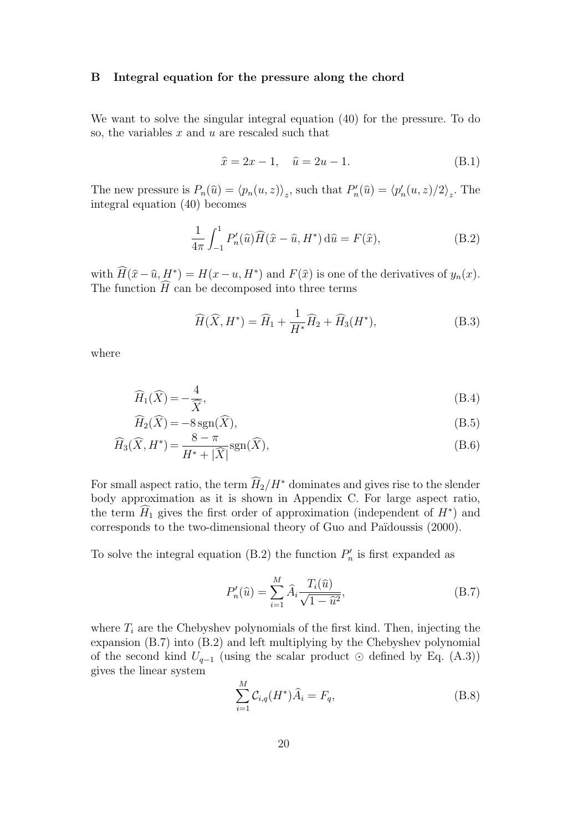## B Integral equation for the pressure along the chord

We want to solve the singular integral equation (40) for the pressure. To do so, the variables  $x$  and  $u$  are rescaled such that

$$
\hat{x} = 2x - 1, \quad \hat{u} = 2u - 1.
$$
 (B.1)

The new pressure is  $P_n(\hat{u}) = \langle p_n(u, z) \rangle_z$ , such that  $P'_n(\hat{u}) = \langle p'_n(u, z)/2 \rangle_z$ . The integral equation (40) becomes

$$
\frac{1}{4\pi} \int_{-1}^{1} P'_n(\hat{u}) \widehat{H}(\hat{x} - \hat{u}, H^*) d\hat{u} = F(\hat{x}), \tag{B.2}
$$

with  $\widehat{H}(\widehat{x}-\widehat{u}, H^*) = H(x-u, H^*)$  and  $F(\widehat{x})$  is one of the derivatives of  $y_n(x)$ . The function  $\widehat{H}$  can be decomposed into three terms

$$
\widehat{H}(\widehat{X}, H^*) = \widehat{H}_1 + \frac{1}{H^*} \widehat{H}_2 + \widehat{H}_3(H^*), \tag{B.3}
$$

where

$$
\widehat{H}_1(\widehat{X}) = -\frac{4}{\widehat{X}},\tag{B.4}
$$

$$
\widehat{H}_2(\widehat{X}) = -8 \operatorname{sgn}(\widehat{X}),\tag{B.5}
$$

$$
\widehat{H}_3(\widehat{X}, H^*) = \frac{8 - \pi}{H^* + |\widehat{X}|} \text{sgn}(\widehat{X}),\tag{B.6}
$$

For small aspect ratio, the term  $\widehat{H}_2/H^*$  dominates and gives rise to the slender body approximation as it is shown in Appendix C. For large aspect ratio, the term  $\widehat{H}_1$  gives the first order of approximation (independent of  $H^*$ ) and corresponds to the two-dimensional theory of Guo and Païdoussis (2000).

To solve the integral equation (B.2) the function  $P'_n$  is first expanded as

$$
P_n'(\widehat{u}) = \sum_{i=1}^M \widehat{A}_i \frac{T_i(\widehat{u})}{\sqrt{1 - \widehat{u}^2}},\tag{B.7}
$$

where  $T_i$  are the Chebyshev polynomials of the first kind. Then, injecting the expansion (B.7) into (B.2) and left multiplying by the Chebyshev polynomial of the second kind  $U_{q-1}$  (using the scalar product  $\odot$  defined by Eq. (A.3)) gives the linear system

$$
\sum_{i=1}^{M} \mathcal{C}_{i,q}(H^*)\widehat{A}_i = F_q,
$$
\n(B.8)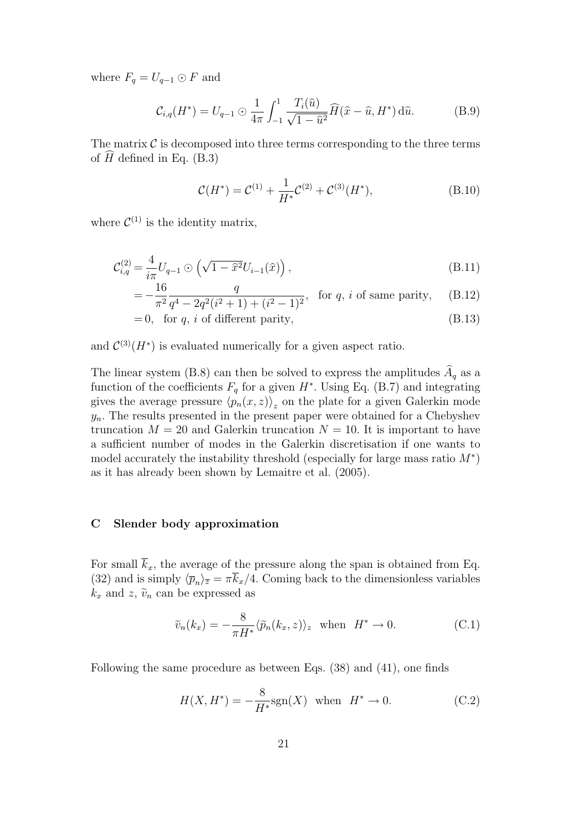where  $F_q = U_{q-1} \odot F$  and

$$
C_{i,q}(H^*) = U_{q-1} \odot \frac{1}{4\pi} \int_{-1}^1 \frac{T_i(\hat{u})}{\sqrt{1 - \hat{u}^2}} \widehat{H}(\hat{x} - \hat{u}, H^*) d\hat{u}.
$$
 (B.9)

The matrix  $\mathcal C$  is decomposed into three terms corresponding to the three terms of  $H$  defined in Eq. (B.3)

$$
\mathcal{C}(H^*) = \mathcal{C}^{(1)} + \frac{1}{H^*} \mathcal{C}^{(2)} + \mathcal{C}^{(3)}(H^*),
$$
 (B.10)

where  $\mathcal{C}^{(1)}$  is the identity matrix,

$$
\mathcal{C}_{i,q}^{(2)} = \frac{4}{i\pi} U_{q-1} \odot \left( \sqrt{1 - \hat{x}^2} U_{i-1}(\hat{x}) \right),\tag{B.11}
$$

$$
=-\frac{16}{\pi^2} \frac{q}{q^4 - 2q^2(i^2 + 1) + (i^2 - 1)^2}, \text{ for } q, i \text{ of same parity}, \quad \text{(B.12)}
$$

$$
= 0, \text{ for } q, i \text{ of different parity}, \tag{B.13}
$$

and  $\mathcal{C}^{(3)}(H^*)$  is evaluated numerically for a given aspect ratio.

The linear system (B.8) can then be solved to express the amplitudes  $A_q$  as a function of the coefficients  $F_q$  for a given  $H^*$ . Using Eq. (B.7) and integrating gives the average pressure  $\langle p_n(x,z) \rangle_z$  on the plate for a given Galerkin mode  $y_n$ . The results presented in the present paper were obtained for a Chebyshev truncation  $M = 20$  and Galerkin truncation  $N = 10$ . It is important to have a sufficient number of modes in the Galerkin discretisation if one wants to model accurately the instability threshold (especially for large mass ratio  $M^*$ ) as it has already been shown by Lemaitre et al. (2005).

# C Slender body approximation

For small  $\overline{k}_x$ , the average of the pressure along the span is obtained from Eq. (32) and is simply  $\langle \overline{p}_n \rangle_{\overline{z}} = \pi \overline{k_x}/4$ . Coming back to the dimensionless variables  $k_x$  and z,  $\tilde{v}_n$  can be expressed as

$$
\tilde{v}_n(k_x) = -\frac{8}{\pi H^*} \langle \tilde{p}_n(k_x, z) \rangle_z \quad \text{when} \quad H^* \to 0. \tag{C.1}
$$

Following the same procedure as between Eqs. (38) and (41), one finds

$$
H(X, H^*) = -\frac{8}{H^*} \text{sgn}(X) \text{ when } H^* \to 0. \tag{C.2}
$$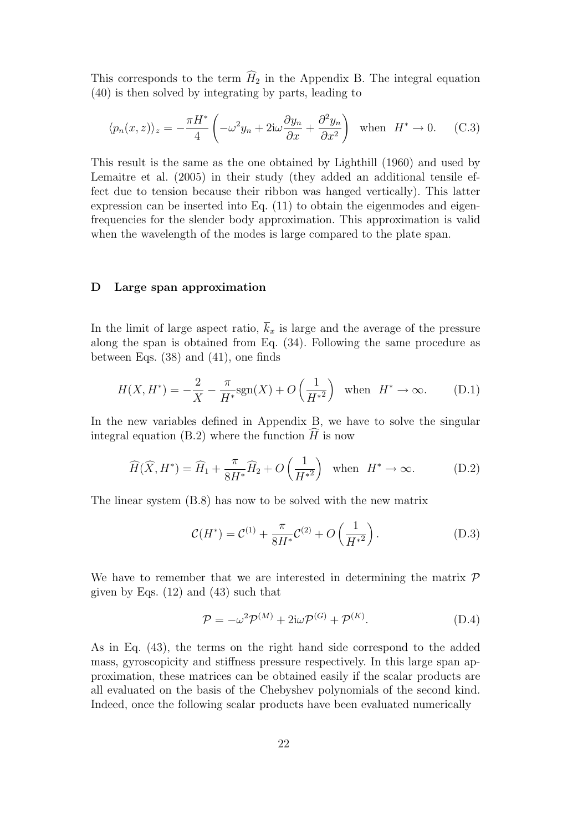This corresponds to the term  $\widehat{H}_2$  in the Appendix B. The integral equation (40) is then solved by integrating by parts, leading to

$$
\langle p_n(x,z) \rangle_z = -\frac{\pi H^*}{4} \left( -\omega^2 y_n + 2i\omega \frac{\partial y_n}{\partial x} + \frac{\partial^2 y_n}{\partial x^2} \right) \text{ when } H^* \to 0. \quad (C.3)
$$

This result is the same as the one obtained by Lighthill (1960) and used by Lemaitre et al. (2005) in their study (they added an additional tensile effect due to tension because their ribbon was hanged vertically). This latter expression can be inserted into Eq. (11) to obtain the eigenmodes and eigenfrequencies for the slender body approximation. This approximation is valid when the wavelength of the modes is large compared to the plate span.

## D Large span approximation

In the limit of large aspect ratio,  $\overline{k}_x$  is large and the average of the pressure along the span is obtained from Eq. (34). Following the same procedure as between Eqs. (38) and (41), one finds

$$
H(X, H^*) = -\frac{2}{X} - \frac{\pi}{H^*} \text{sgn}(X) + O\left(\frac{1}{H^{*2}}\right) \text{ when } H^* \to \infty.
$$
 (D.1)

In the new variables defined in Appendix B, we have to solve the singular integral equation (B.2) where the function  $H$  is now

$$
\widehat{H}(\widehat{X}, H^*) = \widehat{H}_1 + \frac{\pi}{8H^*} \widehat{H}_2 + O\left(\frac{1}{H^{*2}}\right) \text{ when } H^* \to \infty.
$$
 (D.2)

The linear system (B.8) has now to be solved with the new matrix

$$
\mathcal{C}(H^*) = \mathcal{C}^{(1)} + \frac{\pi}{8H^*} \mathcal{C}^{(2)} + O\left(\frac{1}{H^{*2}}\right). \tag{D.3}
$$

We have to remember that we are interested in determining the matrix  $\mathcal{P}$ given by Eqs. (12) and (43) such that

$$
\mathcal{P} = -\omega^2 \mathcal{P}^{(M)} + 2i\omega \mathcal{P}^{(G)} + \mathcal{P}^{(K)}.
$$
\n(D.4)

As in Eq. (43), the terms on the right hand side correspond to the added mass, gyroscopicity and stiffness pressure respectively. In this large span approximation, these matrices can be obtained easily if the scalar products are all evaluated on the basis of the Chebyshev polynomials of the second kind. Indeed, once the following scalar products have been evaluated numerically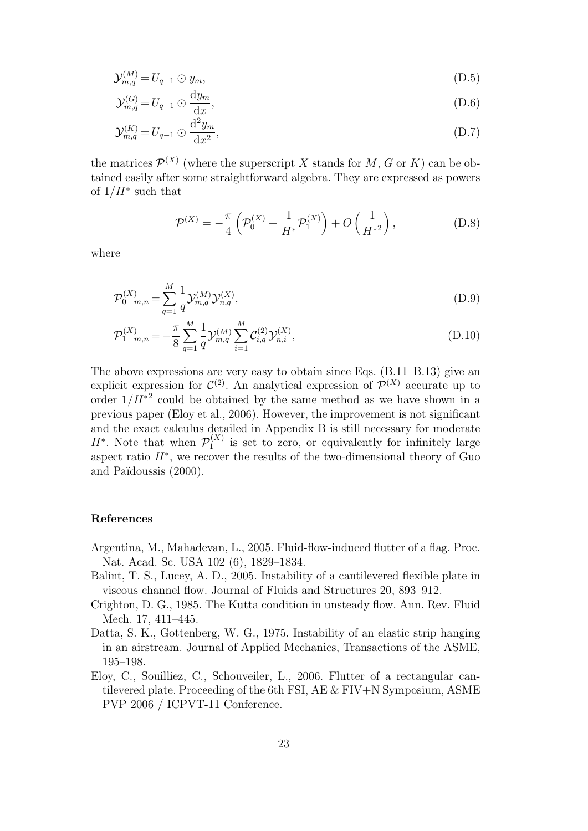$$
\mathcal{Y}_{m,q}^{(M)} = U_{q-1} \odot y_m,\tag{D.5}
$$

$$
\mathcal{Y}_{m,q}^{(G)} = U_{q-1} \odot \frac{\mathrm{d}y_m}{\mathrm{d}x},\tag{D.6}
$$

$$
\mathcal{Y}_{m,q}^{(K)} = U_{q-1} \odot \frac{\mathrm{d}^2 y_m}{\mathrm{d} x^2},\tag{D.7}
$$

the matrices  $\mathcal{P}^{(X)}$  (where the superscript X stands for M, G or K) can be obtained easily after some straightforward algebra. They are expressed as powers of  $1/H^*$  such that

$$
\mathcal{P}^{(X)} = -\frac{\pi}{4} \left( \mathcal{P}_0^{(X)} + \frac{1}{H^*} \mathcal{P}_1^{(X)} \right) + O\left( \frac{1}{H^*^2} \right), \tag{D.8}
$$

where

$$
\mathcal{P}_0^{(X)}_{m,n} = \sum_{q=1}^{M} \frac{1}{q} \mathcal{Y}_{m,q}^{(M)} \mathcal{Y}_{n,q}^{(X)},
$$
\n(D.9)

$$
\mathcal{P}_{1\ \ m,n}^{(X)} = -\frac{\pi}{8} \sum_{q=1}^{M} \frac{1}{q} \mathcal{Y}_{m,q}^{(M)} \sum_{i=1}^{M} \mathcal{C}_{i,q}^{(2)} \mathcal{Y}_{n,i}^{(X)}, \tag{D.10}
$$

The above expressions are very easy to obtain since Eqs. (B.11–B.13) give an explicit expression for  $\mathcal{C}^{(2)}$ . An analytical expression of  $\mathcal{P}^{(X)}$  accurate up to order  $1/H^{*2}$  could be obtained by the same method as we have shown in a previous paper (Eloy et al., 2006). However, the improvement is not significant and the exact calculus detailed in Appendix B is still necessary for moderate  $H^*$ . Note that when  $\mathcal{P}_1^{(X)}$  $i_1^{(A)}$  is set to zero, or equivalently for infinitely large aspect ratio  $H^*$ , we recover the results of the two-dimensional theory of Guo and Païdoussis  $(2000)$ .

#### References

- Argentina, M., Mahadevan, L., 2005. Fluid-flow-induced flutter of a flag. Proc. Nat. Acad. Sc. USA 102 (6), 1829–1834.
- Balint, T. S., Lucey, A. D., 2005. Instability of a cantilevered flexible plate in viscous channel flow. Journal of Fluids and Structures 20, 893–912.
- Crighton, D. G., 1985. The Kutta condition in unsteady flow. Ann. Rev. Fluid Mech. 17, 411–445.
- Datta, S. K., Gottenberg, W. G., 1975. Instability of an elastic strip hanging in an airstream. Journal of Applied Mechanics, Transactions of the ASME, 195–198.
- Eloy, C., Souilliez, C., Schouveiler, L., 2006. Flutter of a rectangular cantilevered plate. Proceeding of the 6th FSI, AE & FIV+N Symposium, ASME PVP 2006 / ICPVT-11 Conference.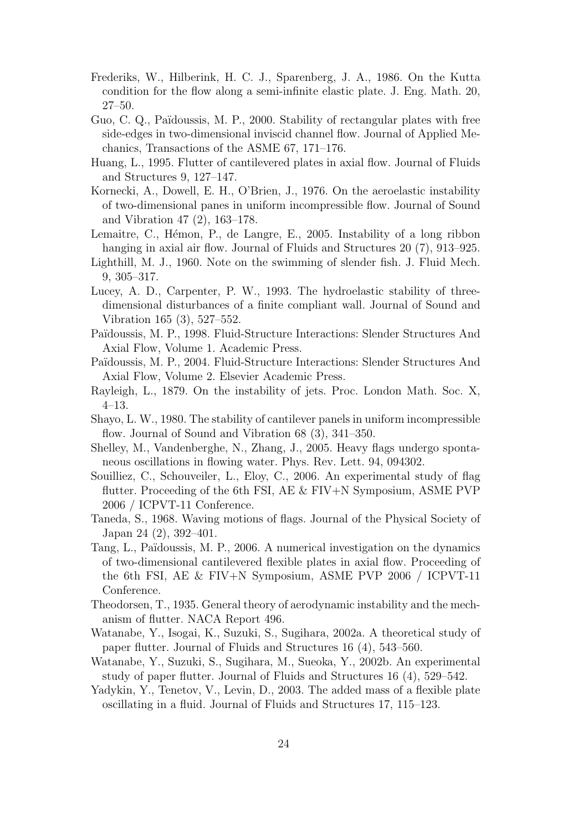- Frederiks, W., Hilberink, H. C. J., Sparenberg, J. A., 1986. On the Kutta condition for the flow along a semi-infinite elastic plate. J. Eng. Math. 20, 27–50.
- Guo, C. Q., Païdoussis, M. P., 2000. Stability of rectangular plates with free side-edges in two-dimensional inviscid channel flow. Journal of Applied Mechanics, Transactions of the ASME 67, 171–176.
- Huang, L., 1995. Flutter of cantilevered plates in axial flow. Journal of Fluids and Structures 9, 127–147.
- Kornecki, A., Dowell, E. H., O'Brien, J., 1976. On the aeroelastic instability of two-dimensional panes in uniform incompressible flow. Journal of Sound and Vibration 47 (2), 163–178.
- Lemaitre, C., Hémon, P., de Langre, E., 2005. Instability of a long ribbon hanging in axial air flow. Journal of Fluids and Structures 20 (7), 913–925.
- Lighthill, M. J., 1960. Note on the swimming of slender fish. J. Fluid Mech. 9, 305–317.
- Lucey, A. D., Carpenter, P. W., 1993. The hydroelastic stability of threedimensional disturbances of a finite compliant wall. Journal of Sound and Vibration 165 (3), 527–552.
- Pa¨ıdoussis, M. P., 1998. Fluid-Structure Interactions: Slender Structures And Axial Flow, Volume 1. Academic Press.
- Pa¨ıdoussis, M. P., 2004. Fluid-Structure Interactions: Slender Structures And Axial Flow, Volume 2. Elsevier Academic Press.
- Rayleigh, L., 1879. On the instability of jets. Proc. London Math. Soc. X, 4–13.
- Shayo, L. W., 1980. The stability of cantilever panels in uniform incompressible flow. Journal of Sound and Vibration 68 (3), 341–350.
- Shelley, M., Vandenberghe, N., Zhang, J., 2005. Heavy flags undergo spontaneous oscillations in flowing water. Phys. Rev. Lett. 94, 094302.
- Souilliez, C., Schouveiler, L., Eloy, C., 2006. An experimental study of flag flutter. Proceeding of the 6th FSI, AE & FIV+N Symposium, ASME PVP 2006 / ICPVT-11 Conference.
- Taneda, S., 1968. Waving motions of flags. Journal of the Physical Society of Japan 24 (2), 392–401.
- Tang, L., Païdoussis, M. P., 2006. A numerical investigation on the dynamics of two-dimensional cantilevered flexible plates in axial flow. Proceeding of the 6th FSI, AE & FIV+N Symposium, ASME PVP 2006 / ICPVT-11 Conference.
- Theodorsen, T., 1935. General theory of aerodynamic instability and the mechanism of flutter. NACA Report 496.
- Watanabe, Y., Isogai, K., Suzuki, S., Sugihara, 2002a. A theoretical study of paper flutter. Journal of Fluids and Structures 16 (4), 543–560.
- Watanabe, Y., Suzuki, S., Sugihara, M., Sueoka, Y., 2002b. An experimental study of paper flutter. Journal of Fluids and Structures 16 (4), 529–542.
- Yadykin, Y., Tenetov, V., Levin, D., 2003. The added mass of a flexible plate oscillating in a fluid. Journal of Fluids and Structures 17, 115–123.